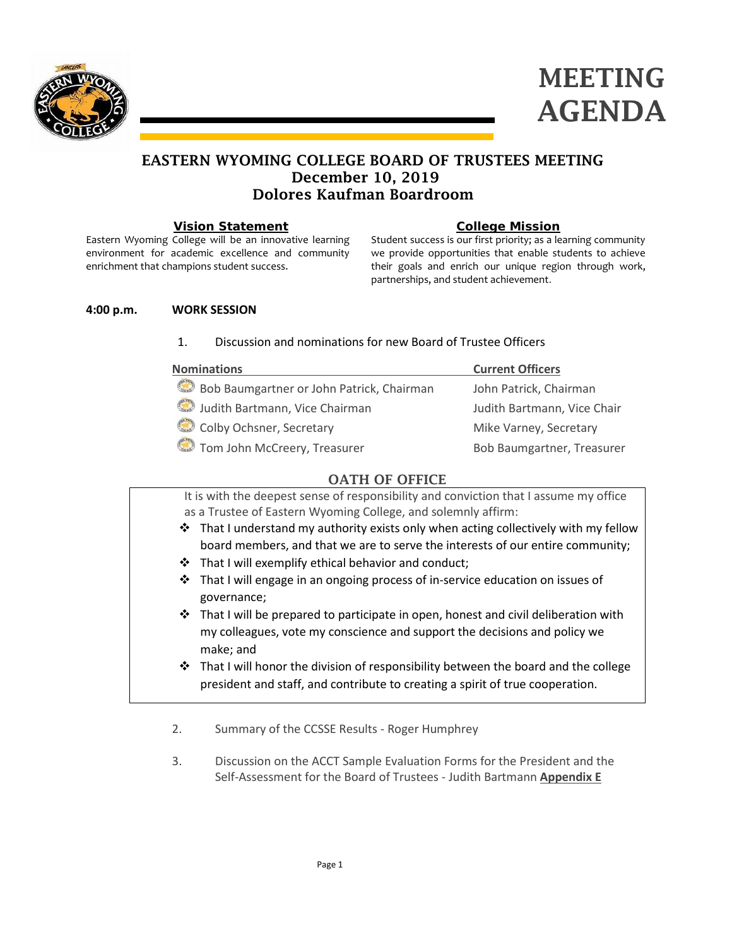



# EASTERN WYOMING COLLEGE BOARD OF TRUSTEES MEETING December 10, 2019 Dolores Kaufman Boardroom

#### **Vision Statement**

Eastern Wyoming College will be an innovative learning environment for academic excellence and community enrichment that champions student success.

## **College Mission**

Student success is our first priority; as a learning community we provide opportunities that enable students to achieve their goals and enrich our unique region through work, partnerships, and student achievement.

#### **4:00 p.m. WORK SESSION**

## 1. Discussion and nominations for new Board of Trustee Officers

| <b>Nominations</b>                        | <b>Current Officers</b>     |
|-------------------------------------------|-----------------------------|
| Bob Baumgartner or John Patrick, Chairman | John Patrick, Chairman      |
| Judith Bartmann, Vice Chairman            | Judith Bartmann, Vice Chair |
| Colby Ochsner, Secretary                  | Mike Varney, Secretary      |
| Tom John McCreery, Treasurer              | Bob Baumgartner, Treasurer  |

## OATH OF OFFICE

It is with the deepest sense of responsibility and conviction that I assume my office as a Trustee of Eastern Wyoming College, and solemnly affirm:

- $\div$  That I understand my authority exists only when acting collectively with my fellow board members, and that we are to serve the interests of our entire community;
- \* That I will exemplify ethical behavior and conduct;
- $\cdot \cdot$  That I will engage in an ongoing process of in-service education on issues of governance;
- $\div$  That I will be prepared to participate in open, honest and civil deliberation with my colleagues, vote my conscience and support the decisions and policy we make; and
- $\div$  That I will honor the division of responsibility between the board and the college president and staff, and contribute to creating a spirit of true cooperation.
- 2. Summary of the CCSSE Results Roger Humphrey
- 3. Discussion on the ACCT Sample Evaluation Forms for the President and the Self-Assessment for the Board of Trustees - Judith Bartmann **Appendix E**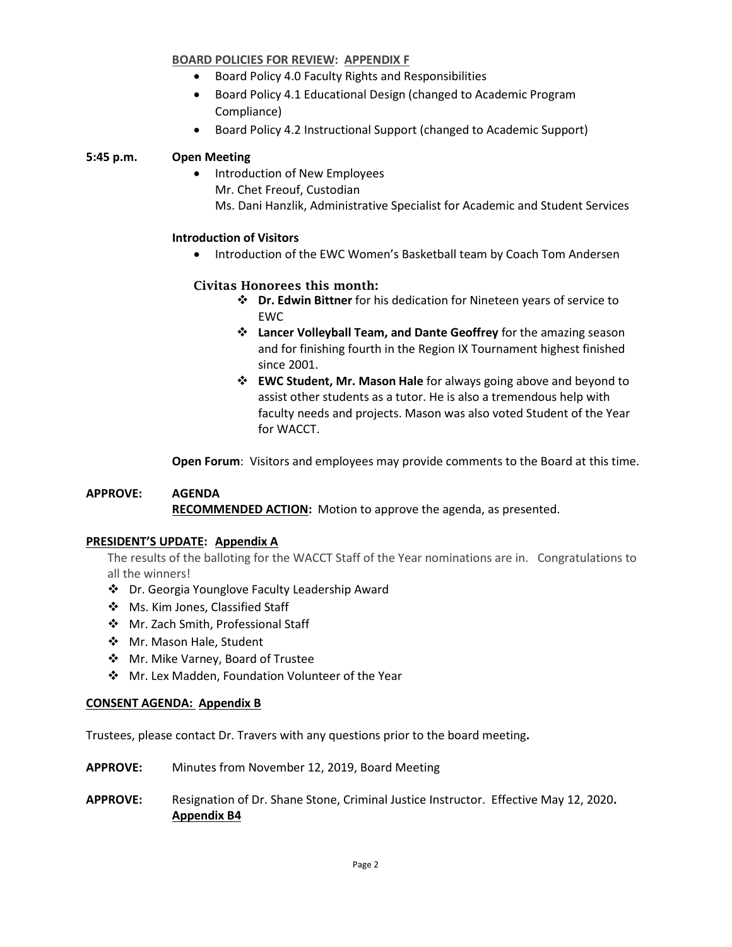## **BOARD POLICIES FOR REVIEW: APPENDIX F**

- Board Policy 4.0 Faculty Rights and Responsibilities
- Board Policy 4.1 Educational Design (changed to Academic Program Compliance)
- Board Policy 4.2 Instructional Support (changed to Academic Support)

## **5:45 p.m. Open Meeting**

• Introduction of New Employees Mr. Chet Freouf, Custodian Ms. Dani Hanzlik, Administrative Specialist for Academic and Student Services

#### **Introduction of Visitors**

• Introduction of the EWC Women's Basketball team by Coach Tom Andersen

## Civitas Honorees this month:

- **Dr. Edwin Bittner** for his dedication for Nineteen years of service to EWC
- **Lancer Volleyball Team, and Dante Geoffrey** for the amazing season and for finishing fourth in the Region IX Tournament highest finished since 2001.
- **EWC Student, Mr. Mason Hale** for always going above and beyond to assist other students as a tutor. He is also a tremendous help with faculty needs and projects. Mason was also voted Student of the Year for WACCT.

**Open Forum**: Visitors and employees may provide comments to the Board at this time.

## **APPROVE: AGENDA RECOMMENDED ACTION:** Motion to approve the agenda, as presented.

## **PRESIDENT'S UPDATE: Appendix A**

The results of the balloting for the WACCT Staff of the Year nominations are in. Congratulations to all the winners!

- Dr. Georgia Younglove Faculty Leadership Award
- ❖ Ms. Kim Jones, Classified Staff
- Mr. Zach Smith, Professional Staff
- ❖ Mr. Mason Hale, Student
- ❖ Mr. Mike Varney, Board of Trustee
- Mr. Lex Madden, Foundation Volunteer of the Year

## **CONSENT AGENDA: Appendix B**

Trustees, please contact Dr. Travers with any questions prior to the board meeting**.**

**APPROVE:** Minutes from November 12, 2019, Board Meeting

## **APPROVE:** Resignation of Dr. Shane Stone, Criminal Justice Instructor. Effective May 12, 2020**. Appendix B4**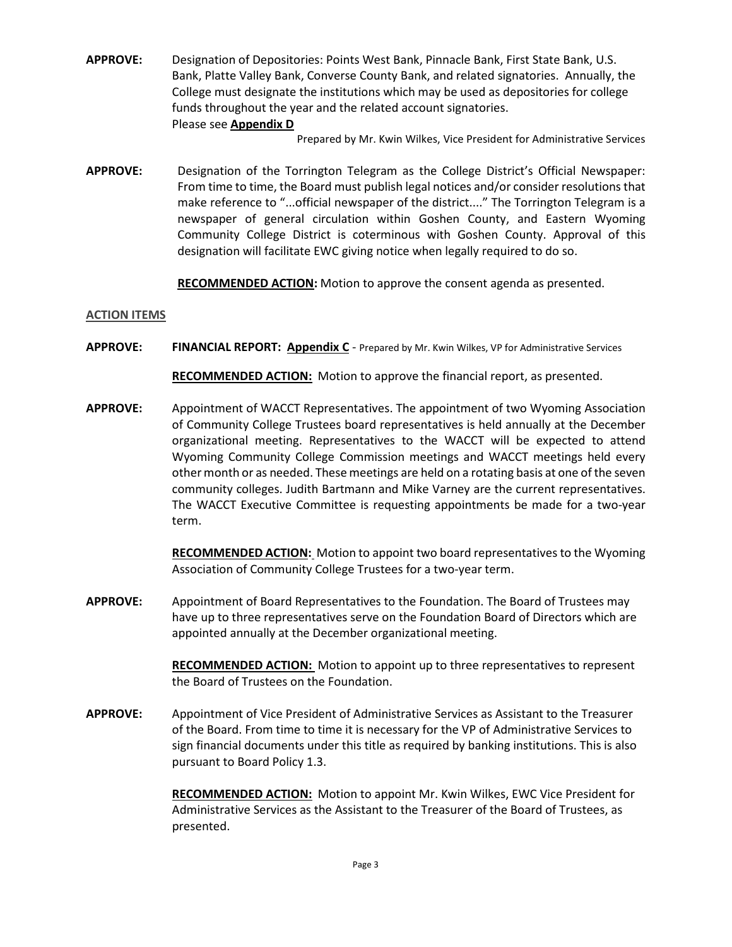**APPROVE:** Designation of Depositories: Points West Bank, Pinnacle Bank, First State Bank, U.S. Bank, Platte Valley Bank, Converse County Bank, and related signatories. Annually, the College must designate the institutions which may be used as depositories for college funds throughout the year and the related account signatories. Please see **Appendix D**

Prepared by Mr. Kwin Wilkes, Vice President for Administrative Services

**APPROVE:** Designation of the Torrington Telegram as the College District's Official Newspaper: From time to time, the Board must publish legal notices and/or consider resolutions that make reference to "...official newspaper of the district...." The Torrington Telegram is a newspaper of general circulation within Goshen County, and Eastern Wyoming Community College District is coterminous with Goshen County. Approval of this designation will facilitate EWC giving notice when legally required to do so.

**RECOMMENDED ACTION:** Motion to approve the consent agenda as presented.

#### **ACTION ITEMS**

**APPROVE: FINANCIAL REPORT: Appendix C** - Prepared by Mr. Kwin Wilkes, VP for Administrative Services

**RECOMMENDED ACTION:** Motion to approve the financial report, as presented.

**APPROVE:** Appointment of WACCT Representatives. The appointment of two Wyoming Association of Community College Trustees board representatives is held annually at the December organizational meeting. Representatives to the WACCT will be expected to attend Wyoming Community College Commission meetings and WACCT meetings held every other month or as needed. These meetings are held on a rotating basis at one of the seven community colleges. Judith Bartmann and Mike Varney are the current representatives. The WACCT Executive Committee is requesting appointments be made for a two-year term.

> **RECOMMENDED ACTION:** Motion to appoint two board representatives to the Wyoming Association of Community College Trustees for a two-year term.

**APPROVE:** Appointment of Board Representatives to the Foundation. The Board of Trustees may have up to three representatives serve on the Foundation Board of Directors which are appointed annually at the December organizational meeting.

> **RECOMMENDED ACTION:** Motion to appoint up to three representatives to represent the Board of Trustees on the Foundation.

**APPROVE:** Appointment of Vice President of Administrative Services as Assistant to the Treasurer of the Board. From time to time it is necessary for the VP of Administrative Services to sign financial documents under this title as required by banking institutions. This is also pursuant to Board Policy 1.3.

> **RECOMMENDED ACTION:** Motion to appoint Mr. Kwin Wilkes, EWC Vice President for Administrative Services as the Assistant to the Treasurer of the Board of Trustees, as presented.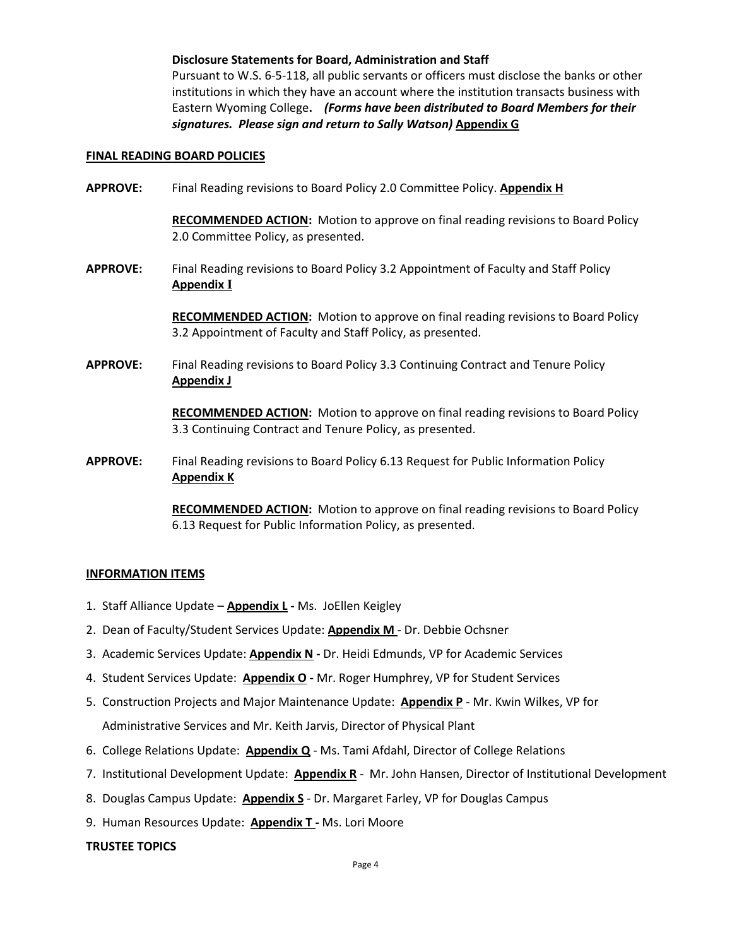#### **Disclosure Statements for Board, Administration and Staff**

Pursuant to W.S. 6-5-118, all public servants or officers must disclose the banks or other institutions in which they have an account where the institution transacts business with Eastern Wyoming College**.** *(Forms have been distributed to Board Members for their signatures. Please sign and return to Sally Watson)* **Appendix G**

#### **FINAL READING BOARD POLICIES**

**APPROVE:** Final Reading revisions to Board Policy 2.0 Committee Policy. **Appendix H**

**RECOMMENDED ACTION:** Motion to approve on final reading revisions to Board Policy 2.0 Committee Policy, as presented.

**APPROVE:** Final Reading revisions to Board Policy 3.2 Appointment of Faculty and Staff Policy **Appendix I**

> **RECOMMENDED ACTION:** Motion to approve on final reading revisions to Board Policy 3.2 Appointment of Faculty and Staff Policy, as presented.

**APPROVE:** Final Reading revisions to Board Policy 3.3 Continuing Contract and Tenure Policy **Appendix J**

> **RECOMMENDED ACTION:** Motion to approve on final reading revisions to Board Policy 3.3 Continuing Contract and Tenure Policy, as presented.

**APPROVE:** Final Reading revisions to Board Policy 6.13 Request for Public Information Policy **Appendix K**

> **RECOMMENDED ACTION:** Motion to approve on final reading revisions to Board Policy 6.13 Request for Public Information Policy, as presented.

#### **INFORMATION ITEMS**

- 1. Staff Alliance Update **Appendix L -** Ms. JoEllen Keigley
- 2. Dean of Faculty/Student Services Update: **Appendix M** Dr. Debbie Ochsner
- 3. Academic Services Update: **Appendix N -** Dr. Heidi Edmunds, VP for Academic Services
- 4. Student Services Update: **Appendix O -** Mr. Roger Humphrey, VP for Student Services
- 5. Construction Projects and Major Maintenance Update: **Appendix P** Mr. Kwin Wilkes, VP for Administrative Services and Mr. Keith Jarvis, Director of Physical Plant
- 6. College Relations Update: **Appendix Q** Ms. Tami Afdahl, Director of College Relations
- 7. Institutional Development Update: **Appendix R** Mr. John Hansen, Director of Institutional Development
- 8. Douglas Campus Update: **Appendix S** Dr. Margaret Farley, VP for Douglas Campus
- 9. Human Resources Update: **Appendix T -** Ms. Lori Moore

#### **TRUSTEE TOPICS**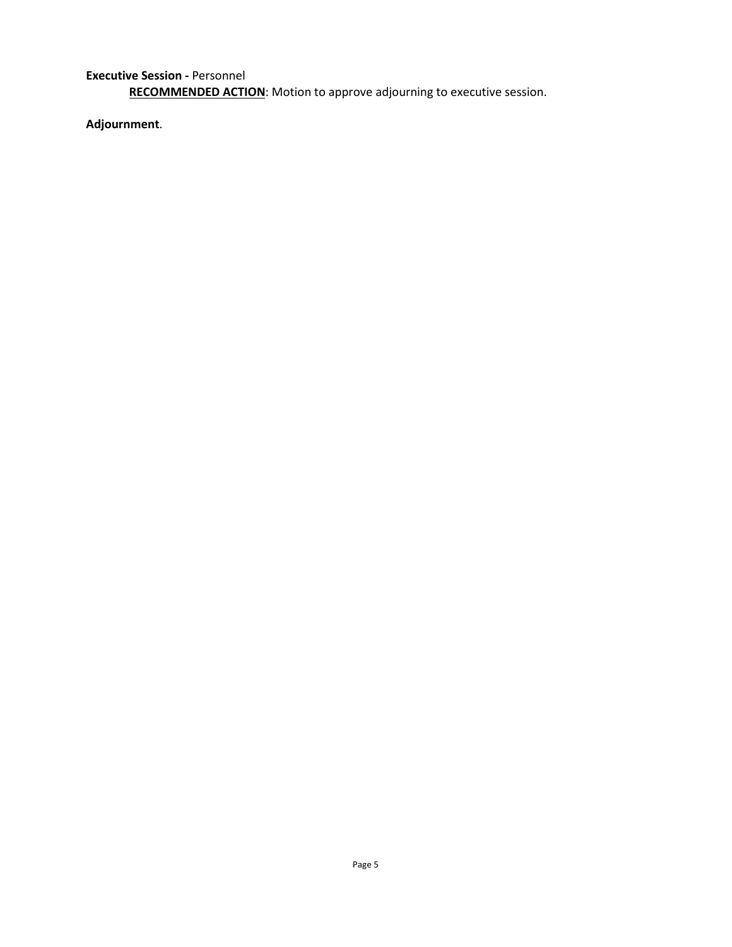**Executive Session -** Personnel **RECOMMENDED ACTION**: Motion to approve adjourning to executive session.

**Adjournment**.